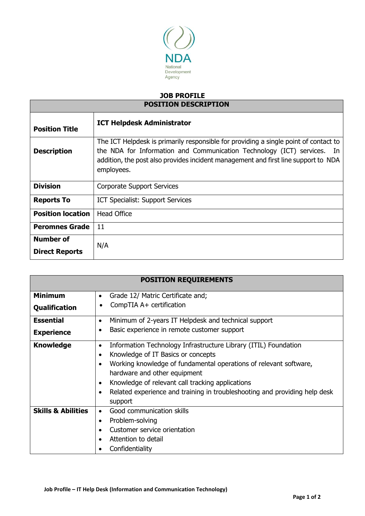

## **JOB PROFILE POSITION DESCRIPTION**

| <b>Position Title</b>    | <b>ICT Helpdesk Administrator</b>                                                                                                                                                                                                                                   |  |
|--------------------------|---------------------------------------------------------------------------------------------------------------------------------------------------------------------------------------------------------------------------------------------------------------------|--|
| <b>Description</b>       | The ICT Helpdesk is primarily responsible for providing a single point of contact to<br>the NDA for Information and Communication Technology (ICT) services. In<br>addition, the post also provides incident management and first line support to NDA<br>employees. |  |
| <b>Division</b>          | <b>Corporate Support Services</b>                                                                                                                                                                                                                                   |  |
| <b>Reports To</b>        | ICT Specialist: Support Services                                                                                                                                                                                                                                    |  |
| <b>Position location</b> | <b>Head Office</b>                                                                                                                                                                                                                                                  |  |
| <b>Peromnes Grade</b>    | 11                                                                                                                                                                                                                                                                  |  |
| Number of                | N/A                                                                                                                                                                                                                                                                 |  |
| <b>Direct Reports</b>    |                                                                                                                                                                                                                                                                     |  |

| <b>POSITION REQUIREMENTS</b>                                                                      |                                                                              |                                                  |  |  |  |
|---------------------------------------------------------------------------------------------------|------------------------------------------------------------------------------|--------------------------------------------------|--|--|--|
| <b>Minimum</b>                                                                                    | Grade 12/ Matric Certificate and;<br>$\bullet$                               |                                                  |  |  |  |
| <b>Qualification</b>                                                                              | CompTIA A+ certification                                                     |                                                  |  |  |  |
| <b>Essential</b>                                                                                  | Minimum of 2-years IT Helpdesk and technical support<br>$\bullet$            |                                                  |  |  |  |
| <b>Experience</b>                                                                                 | Basic experience in remote customer support                                  |                                                  |  |  |  |
| <b>Knowledge</b>                                                                                  | Information Technology Infrastructure Library (ITIL) Foundation<br>$\bullet$ |                                                  |  |  |  |
|                                                                                                   | Knowledge of IT Basics or concepts                                           |                                                  |  |  |  |
| Working knowledge of fundamental operations of relevant software,<br>hardware and other equipment |                                                                              |                                                  |  |  |  |
|                                                                                                   |                                                                              | Knowledge of relevant call tracking applications |  |  |  |
|                                                                                                   | Related experience and training in troubleshooting and providing help desk   |                                                  |  |  |  |
|                                                                                                   | support                                                                      |                                                  |  |  |  |
| <b>Skills &amp; Abilities</b>                                                                     | Good communication skills                                                    |                                                  |  |  |  |
| Problem-solving                                                                                   |                                                                              |                                                  |  |  |  |
|                                                                                                   | Customer service orientation                                                 |                                                  |  |  |  |
|                                                                                                   | Attention to detail                                                          |                                                  |  |  |  |
|                                                                                                   | Confidentiality                                                              |                                                  |  |  |  |